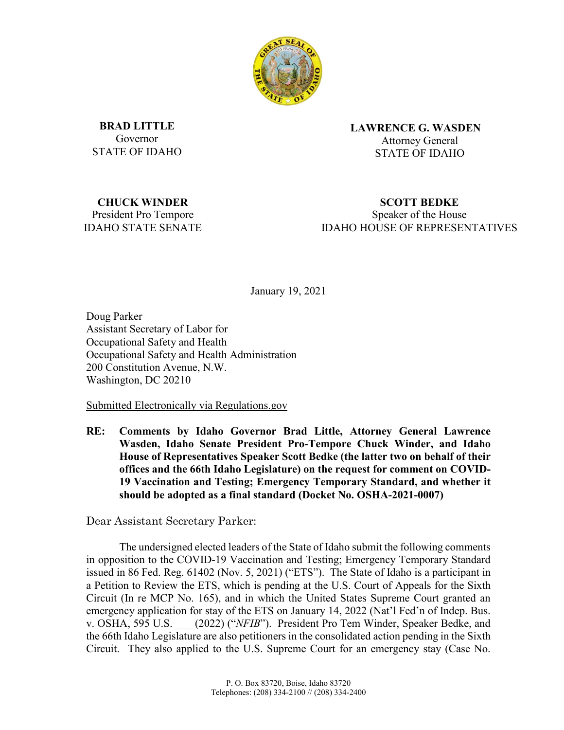

**BRAD LITTLE** Governor STATE OF IDAHO **LAWRENCE G. WASDEN** Attorney General STATE OF IDAHO

**CHUCK WINDER** President Pro Tempore IDAHO STATE SENATE

**SCOTT BEDKE** Speaker of the House IDAHO HOUSE OF REPRESENTATIVES

January 19, 2021

Doug Parker Assistant Secretary of Labor for Occupational Safety and Health Occupational Safety and Health Administration 200 Constitution Avenue, N.W. Washington, DC 20210

Submitted Electronically via Regulations.gov

**RE: Comments by Idaho Governor Brad Little, Attorney General Lawrence Wasden, Idaho Senate President Pro-Tempore Chuck Winder, and Idaho House of Representatives Speaker Scott Bedke (the latter two on behalf of their offices and the 66th Idaho Legislature) on the request for comment on COVID-19 Vaccination and Testing; Emergency Temporary Standard, and whether it should be adopted as a final standard (Docket No. OSHA-2021-0007)**

Dear Assistant Secretary Parker:

The undersigned elected leaders of the State of Idaho submit the following comments in opposition to the COVID-19 Vaccination and Testing; Emergency Temporary Standard issued in 86 Fed. Reg. 61402 (Nov. 5, 2021) ("ETS"). The State of Idaho is a participant in a Petition to Review the ETS, which is pending at the U.S. Court of Appeals for the Sixth Circuit (In re MCP No. 165), and in which the United States Supreme Court granted an emergency application for stay of the ETS on January 14, 2022 (Nat'l Fed'n of Indep. Bus. v. OSHA, 595 U.S. \_\_\_ (2022) ("*NFIB*"). President Pro Tem Winder, Speaker Bedke, and the 66th Idaho Legislature are also petitioners in the consolidated action pending in the Sixth Circuit. They also applied to the U.S. Supreme Court for an emergency stay (Case No.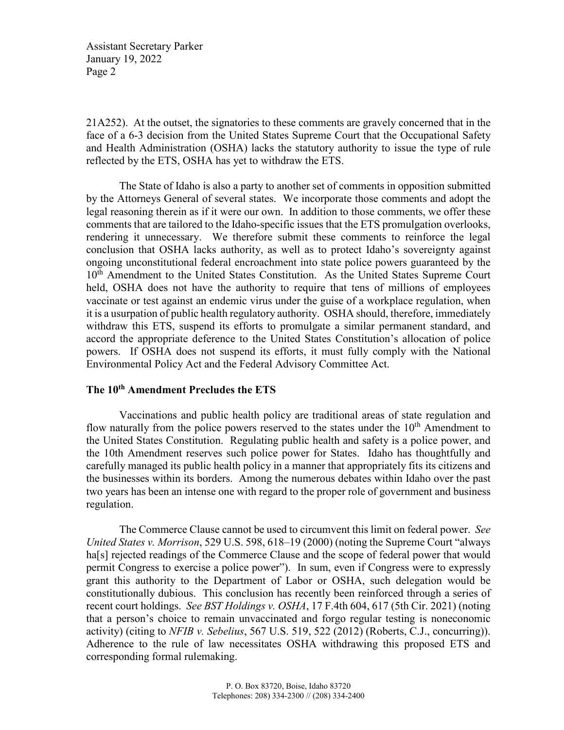21A252). At the outset, the signatories to these comments are gravely concerned that in the face of a 6-3 decision from the United States Supreme Court that the Occupational Safety and Health Administration (OSHA) lacks the statutory authority to issue the type of rule reflected by the ETS, OSHA has yet to withdraw the ETS.

The State of Idaho is also a party to another set of comments in opposition submitted by the Attorneys General of several states. We incorporate those comments and adopt the legal reasoning therein as if it were our own. In addition to those comments, we offer these comments that are tailored to the Idaho-specific issues that the ETS promulgation overlooks, rendering it unnecessary. We therefore submit these comments to reinforce the legal conclusion that OSHA lacks authority, as well as to protect Idaho's sovereignty against ongoing unconstitutional federal encroachment into state police powers guaranteed by the 10<sup>th</sup> Amendment to the United States Constitution. As the United States Supreme Court held, OSHA does not have the authority to require that tens of millions of employees vaccinate or test against an endemic virus under the guise of a workplace regulation, when it is a usurpation of public health regulatory authority. OSHA should, therefore, immediately withdraw this ETS, suspend its efforts to promulgate a similar permanent standard, and accord the appropriate deference to the United States Constitution's allocation of police powers. If OSHA does not suspend its efforts, it must fully comply with the National Environmental Policy Act and the Federal Advisory Committee Act.

#### **The 10th Amendment Precludes the ETS**

Vaccinations and public health policy are traditional areas of state regulation and flow naturally from the police powers reserved to the states under the  $10<sup>th</sup>$  Amendment to the United States Constitution. Regulating public health and safety is a police power, and the 10th Amendment reserves such police power for States. Idaho has thoughtfully and carefully managed its public health policy in a manner that appropriately fits its citizens and the businesses within its borders. Among the numerous debates within Idaho over the past two years has been an intense one with regard to the proper role of government and business regulation.

The Commerce Clause cannot be used to circumvent this limit on federal power. *See United States v. Morrison*, 529 U.S. 598, 618–19 (2000) (noting the Supreme Court "always ha<sup>[s]</sup> rejected readings of the Commerce Clause and the scope of federal power that would permit Congress to exercise a police power"). In sum, even if Congress were to expressly grant this authority to the Department of Labor or OSHA, such delegation would be constitutionally dubious. This conclusion has recently been reinforced through a series of recent court holdings. *See BST Holdings v. OSHA*, 17 F.4th 604, 617 (5th Cir. 2021) (noting that a person's choice to remain unvaccinated and forgo regular testing is noneconomic activity) (citing to *NFIB v. Sebelius*, 567 U.S. 519, 522 (2012) (Roberts, C.J., concurring)). Adherence to the rule of law necessitates OSHA withdrawing this proposed ETS and corresponding formal rulemaking.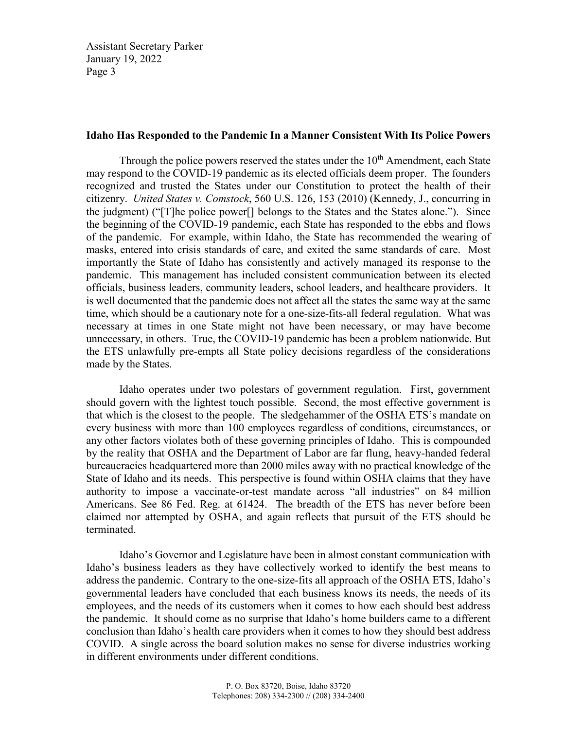### **Idaho Has Responded to the Pandemic In a Manner Consistent With Its Police Powers**

Through the police powers reserved the states under the  $10<sup>th</sup>$  Amendment, each State may respond to the COVID-19 pandemic as its elected officials deem proper. The founders recognized and trusted the States under our Constitution to protect the health of their citizenry. *United States v. Comstock*, 560 U.S. 126, 153 (2010) (Kennedy, J., concurring in the judgment) ("[T]he police power[] belongs to the States and the States alone."). Since the beginning of the COVID-19 pandemic, each State has responded to the ebbs and flows of the pandemic. For example, within Idaho, the State has recommended the wearing of masks, entered into crisis standards of care, and exited the same standards of care. Most importantly the State of Idaho has consistently and actively managed its response to the pandemic. This management has included consistent communication between its elected officials, business leaders, community leaders, school leaders, and healthcare providers. It is well documented that the pandemic does not affect all the states the same way at the same time, which should be a cautionary note for a one-size-fits-all federal regulation. What was necessary at times in one State might not have been necessary, or may have become unnecessary, in others. True, the COVID-19 pandemic has been a problem nationwide. But the ETS unlawfully pre-empts all State policy decisions regardless of the considerations made by the States.

Idaho operates under two polestars of government regulation. First, government should govern with the lightest touch possible. Second, the most effective government is that which is the closest to the people. The sledgehammer of the OSHA ETS's mandate on every business with more than 100 employees regardless of conditions, circumstances, or any other factors violates both of these governing principles of Idaho. This is compounded by the reality that OSHA and the Department of Labor are far flung, heavy-handed federal bureaucracies headquartered more than 2000 miles away with no practical knowledge of the State of Idaho and its needs. This perspective is found within OSHA claims that they have authority to impose a vaccinate-or-test mandate across "all industries" on 84 million Americans. See 86 Fed. Reg. at 61424. The breadth of the ETS has never before been claimed nor attempted by OSHA, and again reflects that pursuit of the ETS should be terminated.

Idaho's Governor and Legislature have been in almost constant communication with Idaho's business leaders as they have collectively worked to identify the best means to address the pandemic. Contrary to the one-size-fits all approach of the OSHA ETS, Idaho's governmental leaders have concluded that each business knows its needs, the needs of its employees, and the needs of its customers when it comes to how each should best address the pandemic. It should come as no surprise that Idaho's home builders came to a different conclusion than Idaho's health care providers when it comes to how they should best address COVID. A single across the board solution makes no sense for diverse industries working in different environments under different conditions.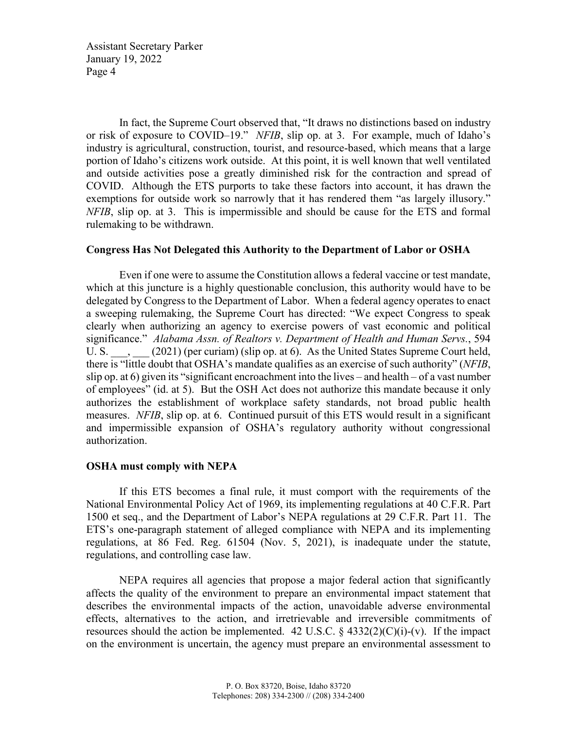In fact, the Supreme Court observed that, "It draws no distinctions based on industry or risk of exposure to COVID–19." *NFIB*, slip op. at 3. For example, much of Idaho's industry is agricultural, construction, tourist, and resource-based, which means that a large portion of Idaho's citizens work outside. At this point, it is well known that well ventilated and outside activities pose a greatly diminished risk for the contraction and spread of COVID. Although the ETS purports to take these factors into account, it has drawn the exemptions for outside work so narrowly that it has rendered them "as largely illusory." *NFIB*, slip op. at 3. This is impermissible and should be cause for the ETS and formal rulemaking to be withdrawn.

## **Congress Has Not Delegated this Authority to the Department of Labor or OSHA**

Even if one were to assume the Constitution allows a federal vaccine or test mandate, which at this juncture is a highly questionable conclusion, this authority would have to be delegated by Congress to the Department of Labor. When a federal agency operates to enact a sweeping rulemaking, the Supreme Court has directed: "We expect Congress to speak clearly when authorizing an agency to exercise powers of vast economic and political significance." *Alabama Assn. of Realtors v. Department of Health and Human Servs.*, 594 U. S.  $\ldots$ , (2021) (per curiam) (slip op. at 6). As the United States Supreme Court held, there is "little doubt that OSHA's mandate qualifies as an exercise of such authority" (*NFIB*, slip op. at 6) given its "significant encroachment into the lives – and health – of a vast number of employees" (id. at 5). But the OSH Act does not authorize this mandate because it only authorizes the establishment of workplace safety standards, not broad public health measures. *NFIB*, slip op. at 6. Continued pursuit of this ETS would result in a significant and impermissible expansion of OSHA's regulatory authority without congressional authorization.

# **OSHA must comply with NEPA**

If this ETS becomes a final rule, it must comport with the requirements of the National Environmental Policy Act of 1969, its implementing regulations at 40 C.F.R. Part 1500 et seq., and the Department of Labor's NEPA regulations at 29 C.F.R. Part 11. The ETS's one-paragraph statement of alleged compliance with NEPA and its implementing regulations, at 86 Fed. Reg. 61504 (Nov. 5, 2021), is inadequate under the statute, regulations, and controlling case law.

NEPA requires all agencies that propose a major federal action that significantly affects the quality of the environment to prepare an environmental impact statement that describes the environmental impacts of the action, unavoidable adverse environmental effects, alternatives to the action, and irretrievable and irreversible commitments of resources should the action be implemented. 42 U.S.C.  $\S$  4332(2)(C)(i)-(v). If the impact on the environment is uncertain, the agency must prepare an environmental assessment to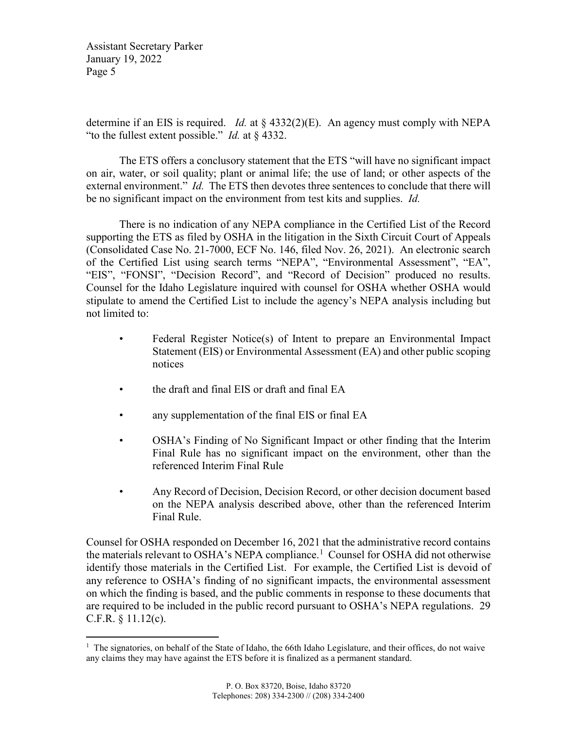determine if an EIS is required. *Id.* at § 4332(2)(E). An agency must comply with NEPA "to the fullest extent possible." *Id.* at § 4332.

The ETS offers a conclusory statement that the ETS "will have no significant impact on air, water, or soil quality; plant or animal life; the use of land; or other aspects of the external environment." *Id.* The ETS then devotes three sentences to conclude that there will be no significant impact on the environment from test kits and supplies. *Id.*

There is no indication of any NEPA compliance in the Certified List of the Record supporting the ETS as filed by OSHA in the litigation in the Sixth Circuit Court of Appeals (Consolidated Case No. 21-7000, ECF No. 146, filed Nov. 26, 2021). An electronic search of the Certified List using search terms "NEPA", "Environmental Assessment", "EA", "EIS", "FONSI", "Decision Record", and "Record of Decision" produced no results. Counsel for the Idaho Legislature inquired with counsel for OSHA whether OSHA would stipulate to amend the Certified List to include the agency's NEPA analysis including but not limited to:

- Federal Register Notice(s) of Intent to prepare an Environmental Impact Statement (EIS) or Environmental Assessment (EA) and other public scoping notices
- the draft and final EIS or draft and final EA
- any supplementation of the final EIS or final EA
- OSHA's Finding of No Significant Impact or other finding that the Interim Final Rule has no significant impact on the environment, other than the referenced Interim Final Rule
- Any Record of Decision, Decision Record, or other decision document based on the NEPA analysis described above, other than the referenced Interim Final Rule.

Counsel for OSHA responded on December 16, 2021 that the administrative record contains the materials relevant to OSHA's NEPA compliance.<sup>[1](#page-4-0)</sup> Counsel for OSHA did not otherwise identify those materials in the Certified List. For example, the Certified List is devoid of any reference to OSHA's finding of no significant impacts, the environmental assessment on which the finding is based, and the public comments in response to these documents that are required to be included in the public record pursuant to OSHA's NEPA regulations. 29 C.F.R. § 11.12(c).

<span id="page-4-0"></span><sup>&</sup>lt;sup>1</sup> The signatories, on behalf of the State of Idaho, the 66th Idaho Legislature, and their offices, do not waive any claims they may have against the ETS before it is finalized as a permanent standard.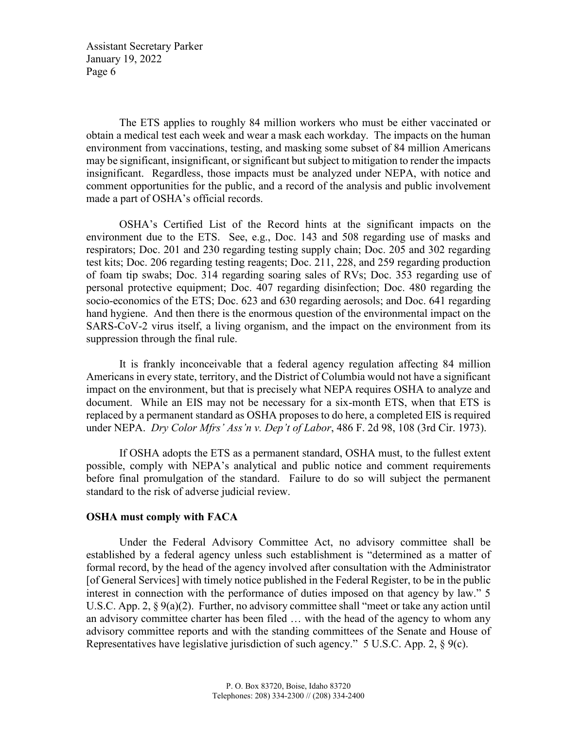The ETS applies to roughly 84 million workers who must be either vaccinated or obtain a medical test each week and wear a mask each workday. The impacts on the human environment from vaccinations, testing, and masking some subset of 84 million Americans may be significant, insignificant, or significant but subject to mitigation to render the impacts insignificant. Regardless, those impacts must be analyzed under NEPA, with notice and comment opportunities for the public, and a record of the analysis and public involvement made a part of OSHA's official records.

OSHA's Certified List of the Record hints at the significant impacts on the environment due to the ETS. See, e.g., Doc. 143 and 508 regarding use of masks and respirators; Doc. 201 and 230 regarding testing supply chain; Doc. 205 and 302 regarding test kits; Doc. 206 regarding testing reagents; Doc. 211, 228, and 259 regarding production of foam tip swabs; Doc. 314 regarding soaring sales of RVs; Doc. 353 regarding use of personal protective equipment; Doc. 407 regarding disinfection; Doc. 480 regarding the socio-economics of the ETS; Doc. 623 and 630 regarding aerosols; and Doc. 641 regarding hand hygiene. And then there is the enormous question of the environmental impact on the SARS-CoV-2 virus itself, a living organism, and the impact on the environment from its suppression through the final rule.

It is frankly inconceivable that a federal agency regulation affecting 84 million Americans in every state, territory, and the District of Columbia would not have a significant impact on the environment, but that is precisely what NEPA requires OSHA to analyze and document. While an EIS may not be necessary for a six-month ETS, when that ETS is replaced by a permanent standard as OSHA proposes to do here, a completed EIS is required under NEPA. *Dry Color Mfrs' Ass'n v. Dep't of Labor*, 486 F. 2d 98, 108 (3rd Cir. 1973).

If OSHA adopts the ETS as a permanent standard, OSHA must, to the fullest extent possible, comply with NEPA's analytical and public notice and comment requirements before final promulgation of the standard. Failure to do so will subject the permanent standard to the risk of adverse judicial review.

# **OSHA must comply with FACA**

Under the Federal Advisory Committee Act, no advisory committee shall be established by a federal agency unless such establishment is "determined as a matter of formal record, by the head of the agency involved after consultation with the Administrator [of General Services] with timely notice published in the Federal Register, to be in the public interest in connection with the performance of duties imposed on that agency by law." 5 U.S.C. App. 2, § 9(a)(2). Further, no advisory committee shall "meet or take any action until an advisory committee charter has been filed … with the head of the agency to whom any advisory committee reports and with the standing committees of the Senate and House of Representatives have legislative jurisdiction of such agency." 5 U.S.C. App. 2, § 9(c).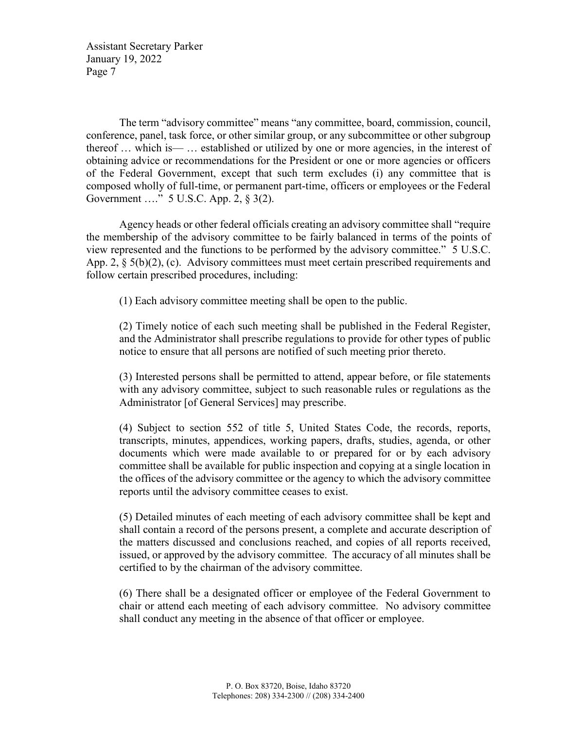The term "advisory committee" means "any committee, board, commission, council, conference, panel, task force, or other similar group, or any subcommittee or other subgroup thereof … which is— … established or utilized by one or more agencies, in the interest of obtaining advice or recommendations for the President or one or more agencies or officers of the Federal Government, except that such term excludes (i) any committee that is composed wholly of full-time, or permanent part-time, officers or employees or the Federal Government …." 5 U.S.C. App. 2, § 3(2).

Agency heads or other federal officials creating an advisory committee shall "require the membership of the advisory committee to be fairly balanced in terms of the points of view represented and the functions to be performed by the advisory committee." 5 U.S.C. App. 2,  $\S 5(b)(2)$ , (c). Advisory committees must meet certain prescribed requirements and follow certain prescribed procedures, including:

(1) Each advisory committee meeting shall be open to the public.

(2) Timely notice of each such meeting shall be published in the Federal Register, and the Administrator shall prescribe regulations to provide for other types of public notice to ensure that all persons are notified of such meeting prior thereto.

(3) Interested persons shall be permitted to attend, appear before, or file statements with any advisory committee, subject to such reasonable rules or regulations as the Administrator [of General Services] may prescribe.

(4) Subject to section 552 of title 5, United States Code, the records, reports, transcripts, minutes, appendices, working papers, drafts, studies, agenda, or other documents which were made available to or prepared for or by each advisory committee shall be available for public inspection and copying at a single location in the offices of the advisory committee or the agency to which the advisory committee reports until the advisory committee ceases to exist.

(5) Detailed minutes of each meeting of each advisory committee shall be kept and shall contain a record of the persons present, a complete and accurate description of the matters discussed and conclusions reached, and copies of all reports received, issued, or approved by the advisory committee. The accuracy of all minutes shall be certified to by the chairman of the advisory committee.

(6) There shall be a designated officer or employee of the Federal Government to chair or attend each meeting of each advisory committee. No advisory committee shall conduct any meeting in the absence of that officer or employee.